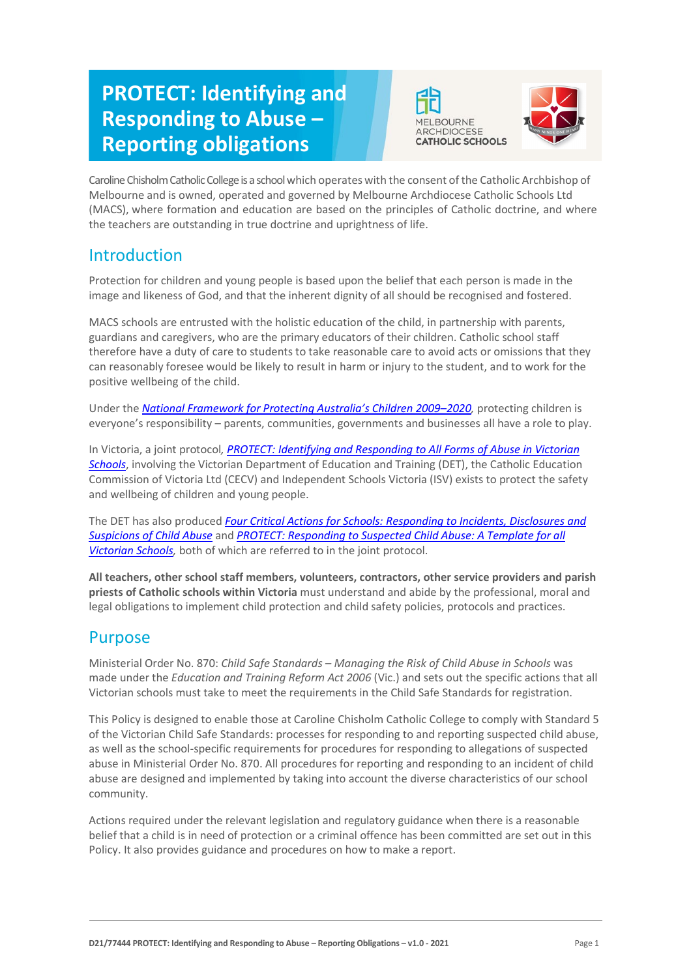# **PROTECT: Identifying and Responding to Abuse – Reporting obligations**





Caroline Chisholm Catholic College is a school which operates with the consent of the Catholic Archbishop of Melbourne and is owned, operated and governed by Melbourne Archdiocese Catholic Schools Ltd (MACS), where formation and education are based on the principles of Catholic doctrine, and where the teachers are outstanding in true doctrine and uprightness of life.

# Introduction

Protection for children and young people is based upon the belief that each person is made in the image and likeness of God, and that the inherent dignity of all should be recognised and fostered.

MACS schools are entrusted with the holistic education of the child, in partnership with parents, guardians and caregivers, who are the primary educators of their children. Catholic school staff therefore have a duty of care to students to take reasonable care to avoid acts or omissions that they can reasonably foresee would be likely to result in harm or injury to the student, and to work for the positive wellbeing of the child.

Under the *National Framework for Protecting Australia's Children 2009–2020*, protecting children is everyone's responsibility – parents, communities, governments and businesses all have a role to play.

In Victoria, a joint protocol*[, PROTECT: Identifying and Responding to All Forms of Abuse in Victorian](http://www.education.vic.gov.au/Documents/about/programs/health/protect/ChildSafeStandard5_SchoolsGuide.pdf)  [Schools](http://www.education.vic.gov.au/Documents/about/programs/health/protect/ChildSafeStandard5_SchoolsGuide.pdf)*[, in](http://www.education.vic.gov.au/Documents/about/programs/health/protect/ChildSafeStandard5_SchoolsGuide.pdf)volving the Victorian Department of Education and Training (DET), the Catholic Education Commission of Victoria Ltd (CECV) and Independent Schools Victoria (ISV) exists to protect the safety and wellbeing of children and young people.

The DET has also produced *[Four Critical Actions for Schools: Responding to Incidents, Disclosures and](http://www.education.vic.gov.au/Documents/about/programs/health/protect/FourCriticalActions_ChildAbuse.pdf)  [Suspicions of Child Abuse](http://www.education.vic.gov.au/Documents/about/programs/health/protect/FourCriticalActions_ChildAbuse.pdf)* and *[PROTECT: Responding to Suspected Child Abuse: A Template for all](http://www.education.vic.gov.au/Documents/about/programs/health/protect/PROTECT_Responding_TemplateSchools.pdf)  [Victorian Schools,](http://www.education.vic.gov.au/Documents/about/programs/health/protect/PROTECT_Responding_TemplateSchools.pdf)* both of which are referred to in the joint protocol.

**All teachers, other school staff members, volunteers, contractors, other service providers and parish priests of Catholic schools within Victoria** must understand and abide by the professional, moral and legal obligations to implement child protection and child safety policies, protocols and practices.

# Purpose

Ministerial Order No. 870: *Child Safe Standards – Managing the Risk of Child Abuse in Schools* was made under the *Education and Training Reform Act 2006* (Vic.) and sets out the specific actions that all Victorian schools must take to meet the requirements in the Child Safe Standards for registration.

This Policy is designed to enable those at Caroline Chisholm Catholic College to comply with Standard 5 of the Victorian Child Safe Standards: processes for responding to and reporting suspected child abuse, as well as the school-specific requirements for procedures for responding to allegations of suspected abuse in Ministerial Order No. 870. All procedures for reporting and responding to an incident of child abuse are designed and implemented by taking into account the diverse characteristics of our school community.

Actions required under the relevant legislation and regulatory guidance when there is a reasonable belief that a child is in need of protection or a criminal offence has been committed are set out in this Policy. It also provides guidance and procedures on how to make a report.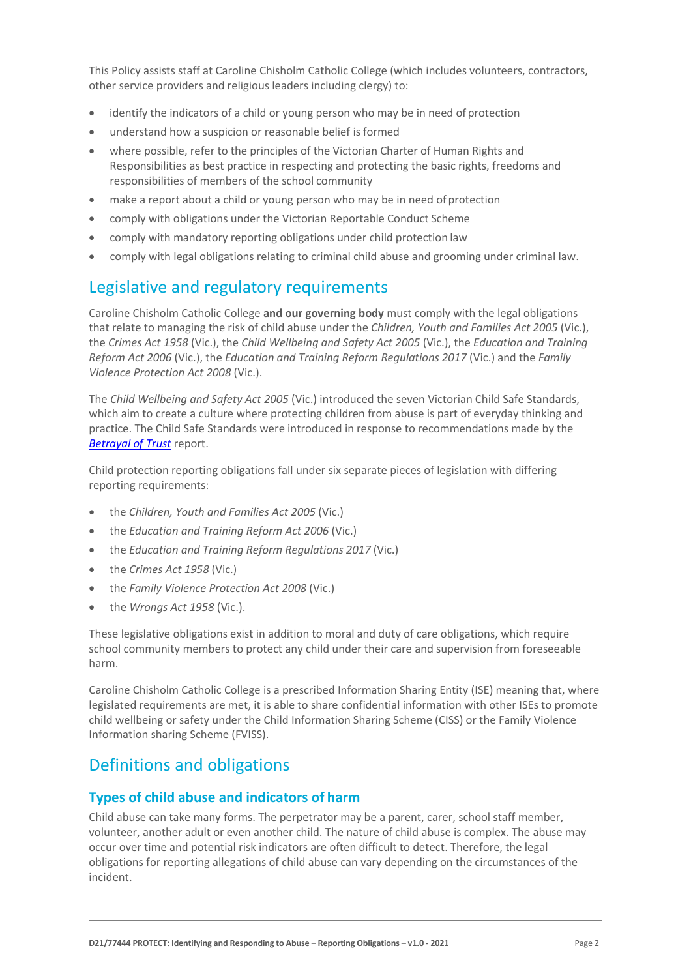This Policy assists staff at Caroline Chisholm Catholic College (which includes volunteers, contractors, other service providers and religious leaders including clergy) to:

- identify the indicators of a child or young person who may be in need of protection
- understand how a suspicion or reasonable belief is formed
- where possible, refer to the principles of the Victorian Charter of Human Rights and Responsibilities as best practice in respecting and protecting the basic rights, freedoms and responsibilities of members of the school community
- make a report about a child or young person who may be in need of protection
- comply with obligations under the Victorian Reportable Conduct Scheme
- comply with mandatory reporting obligations under child protection law
- comply with legal obligations relating to criminal child abuse and grooming under criminal law.

# Legislative and regulatory requirements

Caroline Chisholm Catholic College **and our governing body** must comply with the legal obligations that relate to managing the risk of child abuse under the *Children, Youth and Families Act 2005* (Vic.), the *Crimes Act 1958* (Vic.), the *Child Wellbeing and Safety Act 2005* (Vic.), the *Education and Training Reform Act 2006* (Vic.), the *Education and Training Reform Regulations 2017* (Vic.) and the *Family Violence Protection Act 2008* (Vic.).

The *Child Wellbeing and Safety Act 2005* (Vic.) introduced the seven Victorian Child Safe Standards, which aim to create a culture where protecting children from abuse is part of everyday thinking and practice. The Child Safe Standards were introduced in response to recommendations made by the *[Betrayal of Trust](http://www.parliament.vic.gov.au/file_uploads/Inquiry_into_Handling_of_Abuse_Volume_2_FINAL_web_y78t3Wpb.pdf)* report.

Child protection reporting obligations fall under six separate pieces of legislation with differing reporting requirements:

- the *Children, Youth and Families Act 2005* (Vic.)
- the *Education and Training Reform Act 2006* (Vic.)
- the *Education and Training Reform Regulations 2017* (Vic.)
- the *Crimes Act 1958* (Vic.)
- the *Family Violence Protection Act 2008* (Vic.)
- the *Wrongs Act 1958* (Vic.).

These legislative obligations exist in addition to moral and duty of care obligations, which require school community members to protect any child under their care and supervision from foreseeable harm.

Caroline Chisholm Catholic College is a prescribed Information Sharing Entity (ISE) meaning that, where legislated requirements are met, it is able to share confidential information with other ISEs to promote child wellbeing or safety under the Child Information Sharing Scheme (CISS) or the Family Violence Information sharing Scheme (FVISS).

# Definitions and obligations

# **Types of child abuse and indicators of harm**

Child abuse can take many forms. The perpetrator may be a parent, carer, school staff member, volunteer, another adult or even another child. The nature of child abuse is complex. The abuse may occur over time and potential risk indicators are often difficult to detect. Therefore, the legal obligations for reporting allegations of child abuse can vary depending on the circumstances of the incident.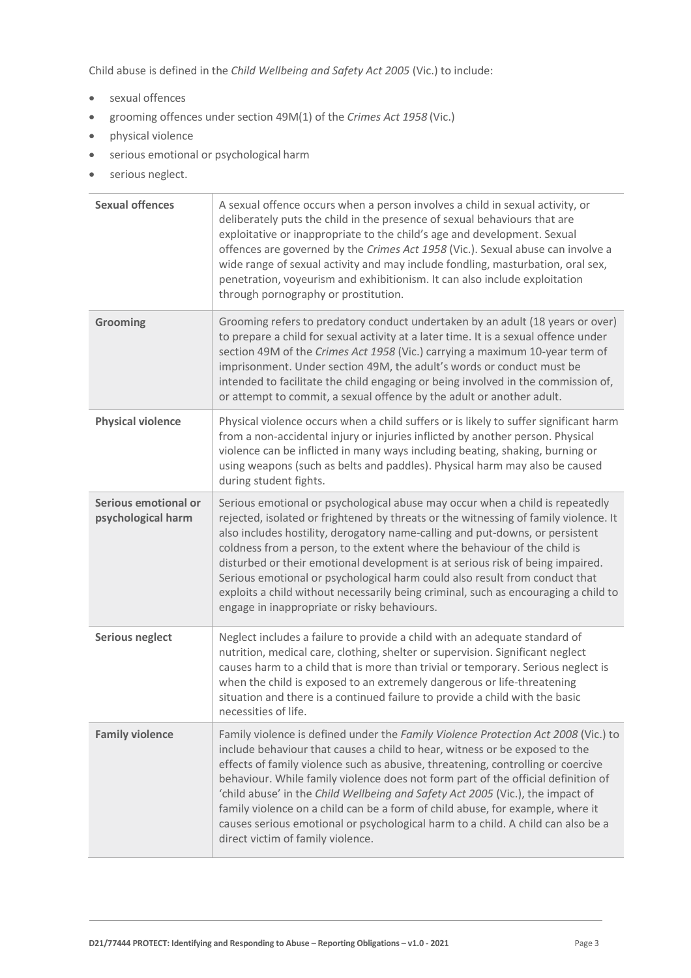Child abuse is defined in the *Child Wellbeing and Safety Act 2005* (Vic.) to include:

- sexual offences
- grooming offences under section 49M(1) of the *Crimes Act 1958* (Vic.)
- physical violence
- serious emotional or psychological harm
- serious neglect.

| <b>Sexual offences</b>                     | A sexual offence occurs when a person involves a child in sexual activity, or<br>deliberately puts the child in the presence of sexual behaviours that are<br>exploitative or inappropriate to the child's age and development. Sexual<br>offences are governed by the Crimes Act 1958 (Vic.). Sexual abuse can involve a<br>wide range of sexual activity and may include fondling, masturbation, oral sex,<br>penetration, voyeurism and exhibitionism. It can also include exploitation<br>through pornography or prostitution.                                                                                                          |
|--------------------------------------------|---------------------------------------------------------------------------------------------------------------------------------------------------------------------------------------------------------------------------------------------------------------------------------------------------------------------------------------------------------------------------------------------------------------------------------------------------------------------------------------------------------------------------------------------------------------------------------------------------------------------------------------------|
| Grooming                                   | Grooming refers to predatory conduct undertaken by an adult (18 years or over)<br>to prepare a child for sexual activity at a later time. It is a sexual offence under<br>section 49M of the Crimes Act 1958 (Vic.) carrying a maximum 10-year term of<br>imprisonment. Under section 49M, the adult's words or conduct must be<br>intended to facilitate the child engaging or being involved in the commission of,<br>or attempt to commit, a sexual offence by the adult or another adult.                                                                                                                                               |
| <b>Physical violence</b>                   | Physical violence occurs when a child suffers or is likely to suffer significant harm<br>from a non-accidental injury or injuries inflicted by another person. Physical<br>violence can be inflicted in many ways including beating, shaking, burning or<br>using weapons (such as belts and paddles). Physical harm may also be caused<br>during student fights.                                                                                                                                                                                                                                                                           |
| Serious emotional or<br>psychological harm | Serious emotional or psychological abuse may occur when a child is repeatedly<br>rejected, isolated or frightened by threats or the witnessing of family violence. It<br>also includes hostility, derogatory name-calling and put-downs, or persistent<br>coldness from a person, to the extent where the behaviour of the child is<br>disturbed or their emotional development is at serious risk of being impaired.<br>Serious emotional or psychological harm could also result from conduct that<br>exploits a child without necessarily being criminal, such as encouraging a child to<br>engage in inappropriate or risky behaviours. |
| <b>Serious neglect</b>                     | Neglect includes a failure to provide a child with an adequate standard of<br>nutrition, medical care, clothing, shelter or supervision. Significant neglect<br>causes harm to a child that is more than trivial or temporary. Serious neglect is<br>when the child is exposed to an extremely dangerous or life-threatening<br>situation and there is a continued failure to provide a child with the basic<br>necessities of life.                                                                                                                                                                                                        |
| <b>Family violence</b>                     | Family violence is defined under the Family Violence Protection Act 2008 (Vic.) to<br>include behaviour that causes a child to hear, witness or be exposed to the<br>effects of family violence such as abusive, threatening, controlling or coercive<br>behaviour. While family violence does not form part of the official definition of<br>'child abuse' in the Child Wellbeing and Safety Act 2005 (Vic.), the impact of<br>family violence on a child can be a form of child abuse, for example, where it<br>causes serious emotional or psychological harm to a child. A child can also be a<br>direct victim of family violence.     |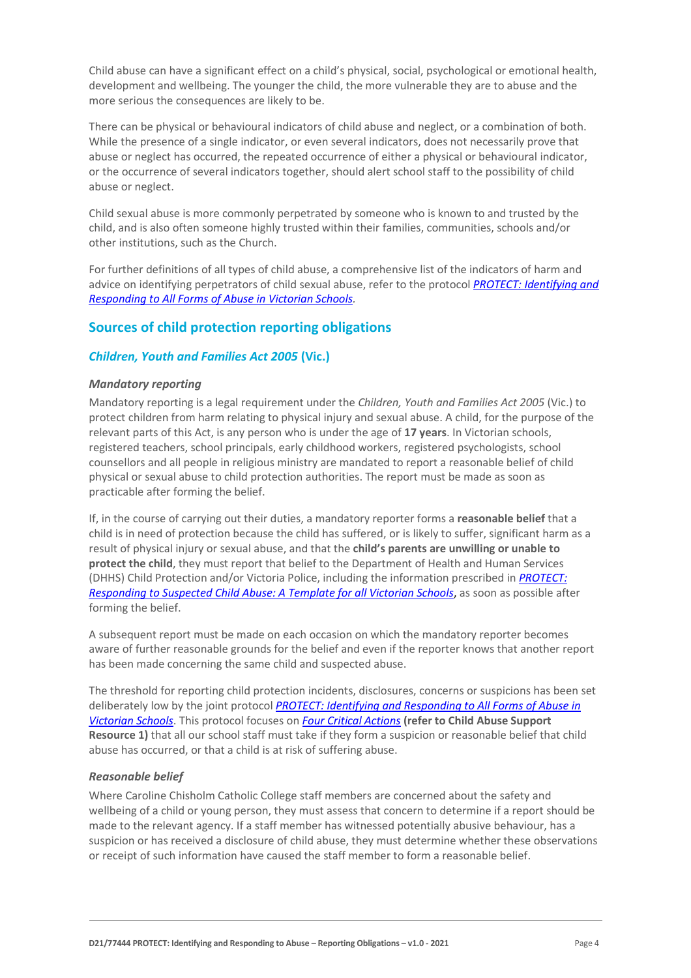Child abuse can have a significant effect on a child's physical, social, psychological or emotional health, development and wellbeing. The younger the child, the more vulnerable they are to abuse and the more serious the consequences are likely to be.

There can be physical or behavioural indicators of child abuse and neglect, or a combination of both. While the presence of a single indicator, or even several indicators, does not necessarily prove that abuse or neglect has occurred, the repeated occurrence of either a physical or behavioural indicator, or the occurrence of several indicators together, should alert school staff to the possibility of child abuse or neglect.

Child sexual abuse is more commonly perpetrated by someone who is known to and trusted by the child, and is also often someone highly trusted within their families, communities, schools and/or other institutions, such as the Church.

For further definitions of all types of child abuse, a comprehensive list of the indicators of harm and advice on identifying perpetrators of child sexual abuse, refer to the protocol *[PROTECT: Identifying and](https://www.education.vic.gov.au/Documents/about/programs/health/protect/ChildSafeStandard5_SchoolsGuide.pdf)  [Responding to All Forms of Abuse in Victorian Schools](https://www.education.vic.gov.au/Documents/about/programs/health/protect/ChildSafeStandard5_SchoolsGuide.pdf)[.](http://www.education.vic.gov.au/Documents/about/programs/health/protect/ChildSafeStandard5_SchoolsGuide.pdf)*

# **Sources of child protection reporting obligations**

### *Children, Youth and Families Act 2005* **(Vic.)**

#### *Mandatory reporting*

Mandatory reporting is a legal requirement under the *Children, Youth and Families Act 2005* (Vic.) to protect children from harm relating to physical injury and sexual abuse. A child, for the purpose of the relevant parts of this Act, is any person who is under the age of **17 years**. In Victorian schools, registered teachers, school principals, early childhood workers, registered psychologists, school counsellors and all people in religious ministry are mandated to report a reasonable belief of child physical or sexual abuse to child protection authorities. The report must be made as soon as practicable after forming the belief.

If, in the course of carrying out their duties, a mandatory reporter forms a **reasonable belief** that a child is in need of protection because the child has suffered, or is likely to suffer, significant harm as a result of physical injury or sexual abuse, and that the **child's parents are unwilling or unable to protect the child**, they must report that belief to the Department of Health and Human Services (DHHS) Child Protection and/or Victoria Police, including the information prescribed in *[PROTECT:](http://www.education.vic.gov.au/Documents/about/programs/health/protect/PROTECT_Responding_TemplateSchools.pdf)  [Responding to Suspected Child Abuse: A Template for all Victorian Schools](http://www.education.vic.gov.au/Documents/about/programs/health/protect/PROTECT_Responding_TemplateSchools.pdf)*, as soon as possible after forming the belief.

A subsequent report must be made on each occasion on which the mandatory reporter becomes aware of further reasonable grounds for the belief and even if the reporter knows that another report has been made concerning the same child and suspected abuse.

The threshold for reporting child protection incidents, disclosures, concerns or suspicions has been set deliberately low by the joint protocol *[PROTECT: Identifying and Responding to All Forms of Abuse in](http://www.education.vic.gov.au/Documents/about/programs/health/protect/ChildSafeStandard5_SchoolsGuide.pdf)  [Victorian Schools](http://www.education.vic.gov.au/Documents/about/programs/health/protect/ChildSafeStandard5_SchoolsGuide.pdf)*[. T](http://www.education.vic.gov.au/Documents/about/programs/health/protect/ChildSafeStandard5_SchoolsGuide.pdf)his protocol focuses on *[Four Critical Actions](http://www.education.vic.gov.au/Documents/about/programs/health/protect/FourCriticalActions_ChildAbuse.pdf)* **(refer to Child Abuse Support Resource 1)** that all our school staff must take if they form a suspicion or reasonable belief that child abuse has occurred, or that a child is at risk of suffering abuse.

#### <span id="page-3-0"></span>*Reasonable belief*

Where Caroline Chisholm Catholic College staff members are concerned about the safety and wellbeing of a child or young person, they must assess that concern to determine if a report should be made to the relevant agency. If a staff member has witnessed potentially abusive behaviour, has a suspicion or has received a disclosure of child abuse, they must determine whether these observations or receipt of such information have caused the staff member to form a reasonable belief.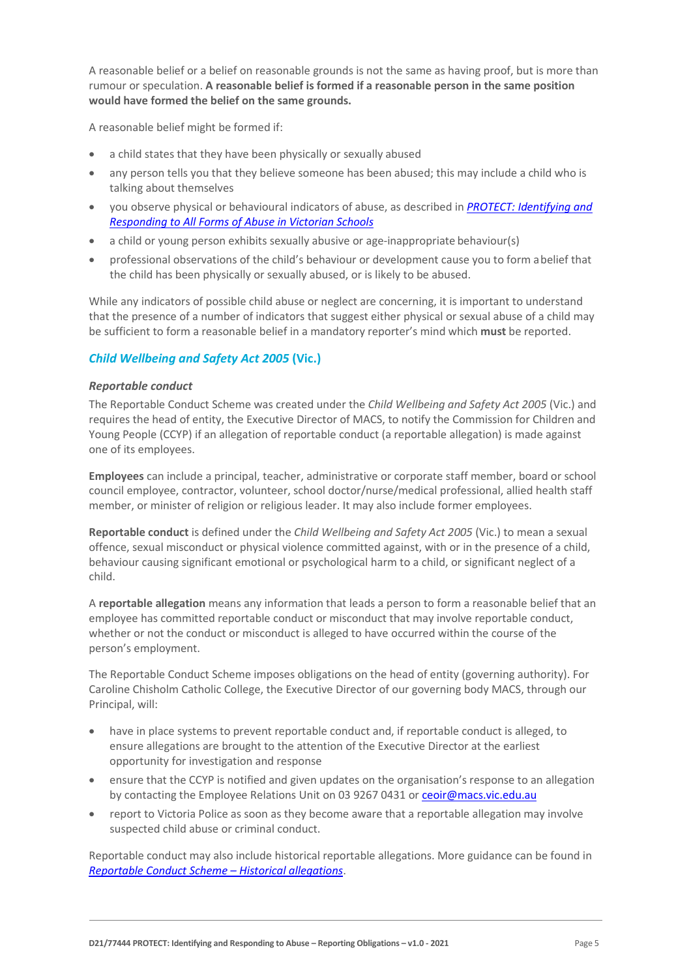A reasonable belief or a belief on reasonable grounds is not the same as having proof, but is more than rumour or speculation. **A reasonable belief is formed if a reasonable person in the same position would have formed the belief on the same grounds.**

A reasonable belief might be formed if:

- a child states that they have been physically or sexually abused
- any person tells you that they believe someone has been abused; this may include a child who is talking about themselves
- you observe physical or behavioural indicators of abuse, as described in *[PROTECT: Identifying and](http://www.education.vic.gov.au/Documents/about/programs/health/protect/ChildSafeStandard5_SchoolsGuide.pdf)  [Responding to All Forms of Abuse in Victorian Schools](http://www.education.vic.gov.au/Documents/about/programs/health/protect/ChildSafeStandard5_SchoolsGuide.pdf)*
- a child or young person exhibits sexually abusive or age-inappropriate behaviour(s)
- professional observations of the child's behaviour or development cause you to form abelief that the child has been physically or sexually abused, or is likely to be abused.

While any indicators of possible child abuse or neglect are concerning, it is important to understand that the presence of a number of indicators that suggest either physical or sexual abuse of a child may be sufficient to form a reasonable belief in a mandatory reporter's mind which **must** be reported.

### *Child Wellbeing and Safety Act 2005* **(Vic.)**

#### *Reportable conduct*

The Reportable Conduct Scheme was created under the *Child Wellbeing and Safety Act 2005* (Vic.) and requires the head of entity, the Executive Director of MACS, to notify the Commission for Children and Young People (CCYP) if an allegation of reportable conduct (a reportable allegation) is made against one of its employees.

**Employees** can include a principal, teacher, administrative or corporate staff member, board or school council employee, contractor, volunteer, school doctor/nurse/medical professional, allied health staff member, or minister of religion or religious leader. It may also include former employees.

**Reportable conduct** is defined under the *Child Wellbeing and Safety Act 2005* (Vic.) to mean a sexual offence, sexual misconduct or physical violence committed against, with or in the presence of a child, behaviour causing significant emotional or psychological harm to a child, or significant neglect of a child.

A **reportable allegation** means any information that leads a person to form a reasonable belief that an employee has committed reportable conduct or misconduct that may involve reportable conduct, whether or not the conduct or misconduct is alleged to have occurred within the course of the person's employment.

The Reportable Conduct Scheme imposes obligations on the head of entity (governing authority). For Caroline Chisholm Catholic College, the Executive Director of our governing body MACS, through our Principal, will:

- have in place systems to prevent reportable conduct and, if reportable conduct is alleged, to ensure allegations are brought to the attention of the Executive Director at the earliest opportunity for investigation and response
- ensure that the CCYP is notified and given updates on the organisation's response to an allegation by contacting the Employee Relations Unit on 03 9267 0431 or [ceoir@macs.vic.edu.au](mailto:ceoir@macs.vic.edu.au)
- report to Victoria Police as soon as they become aware that a reportable allegation may involve suspected child abuse or criminal conduct.

Reportable conduct may also include historical reportable allegations. More guidance can be found in *[Reportable Conduct Scheme –](https://ccyp.vic.gov.au/assets/resources/RCSInfoSheetUpdates/Historical-Allegations-110718.pdf) Historical allegations*.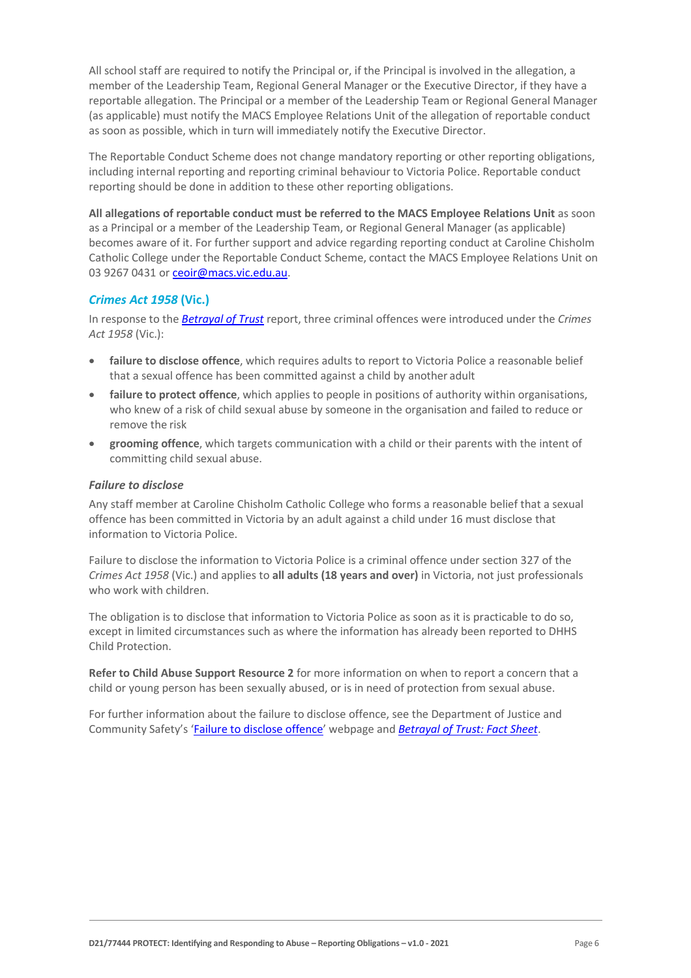All school staff are required to notify the Principal or, if the Principal is involved in the allegation, a member of the Leadership Team, Regional General Manager or the Executive Director, if they have a reportable allegation. The Principal or a member of the Leadership Team or Regional General Manager (as applicable) must notify the MACS Employee Relations Unit of the allegation of reportable conduct as soon as possible, which in turn will immediately notify the Executive Director.

The Reportable Conduct Scheme does not change mandatory reporting or other reporting obligations, including internal reporting and reporting criminal behaviour to Victoria Police. Reportable conduct reporting should be done in addition to these other reporting obligations.

**All allegations of reportable conduct must be referred to the MACS Employee Relations Unit** as soon as a Principal or a member of the Leadership Team, or Regional General Manager (as applicable) becomes aware of it. For further support and advice regarding reporting conduct at Caroline Chisholm Catholic College under the Reportable Conduct Scheme, contact the MACS Employee Relations Unit on 03 9267 0431 o[r ceoir@macs.vic.edu.au.](mailto:ceoir@macs.vic.edu.au)

# *Crimes Act 1958* **(Vic.)**

In response to the *[Betrayal of Trust](http://www.parliament.vic.gov.au/file_uploads/Inquiry_into_Handling_of_Abuse_Volume_2_FINAL_web_y78t3Wpb.pdf)* report, three criminal offences were introduced under the *Crimes Act 1958* (Vic.):

- **[failure to disclose offence](http://www.justice.vic.gov.au/home/safer%2Bcommunities/protecting%2Bchildren%2Band%2Bfamilies/failure%2Bto%2Bdisclose%2Boffence)**, which requires adults to report to Victoria Police a reasonable belief that a sexual offence has been committed against a child by another adult
- [failure to protect offence](http://www.justice.vic.gov.au/home/safer%2Bcommunities/protecting%2Bchildren%2Band%2Bfamilies/failure%2Bto%2Bprotect%2Boffence), which applies to people in positions of authority within organisations, who knew of a risk of child sexual abuse by someone in the organisation and failed to reduce or remove the risk
- **[grooming offence](http://www.justice.vic.gov.au/home/safer%2Bcommunities/protecting%2Bchildren%2Band%2Bfamilies/grooming%2Boffence)**, which targets communication with a child or their parents with the intent of committing child sexual abuse.

#### <span id="page-5-0"></span>*Failure to disclose*

Any staff member at Caroline Chisholm Catholic College who forms a reasonable belief that a sexual offence has been committed in Victoria by an adult against a child under 16 must disclose that information to Victoria Police.

Failure to disclose the information to Victoria Police is a criminal offence under section 327 of the *Crimes Act 1958* (Vic.) and applies to **all adults (18 years and over)** in Victoria, not just professionals who work with children.

The obligation is to disclose that information to Victoria Police as soon as it is practicable to do so, except in limited circumstances such as where the information has already been reported to DHHS Child Protection.

**Refer to Child Abuse Support Resource 2** for more information on when to report a concern that a child or young person has been sexually abused, or is in need of protection from sexual abuse.

For further information about the failure to disclose offence, see the Department of Justice and Community Safety's ['Failure to disclose offence'](https://www.justice.vic.gov.au/safer-communities/protecting-children-and-families/failure-to-disclose-offence) webpage and *[Betrayal of Trust: Fact Sheet](https://www.justice.vic.gov.au/sites/default/files/embridge_cache/emshare/original/public/2020/06/c5/7f42d28f3/betrayal_of_trust-organisational_duty_fact_sheet_2018%20.doc)*.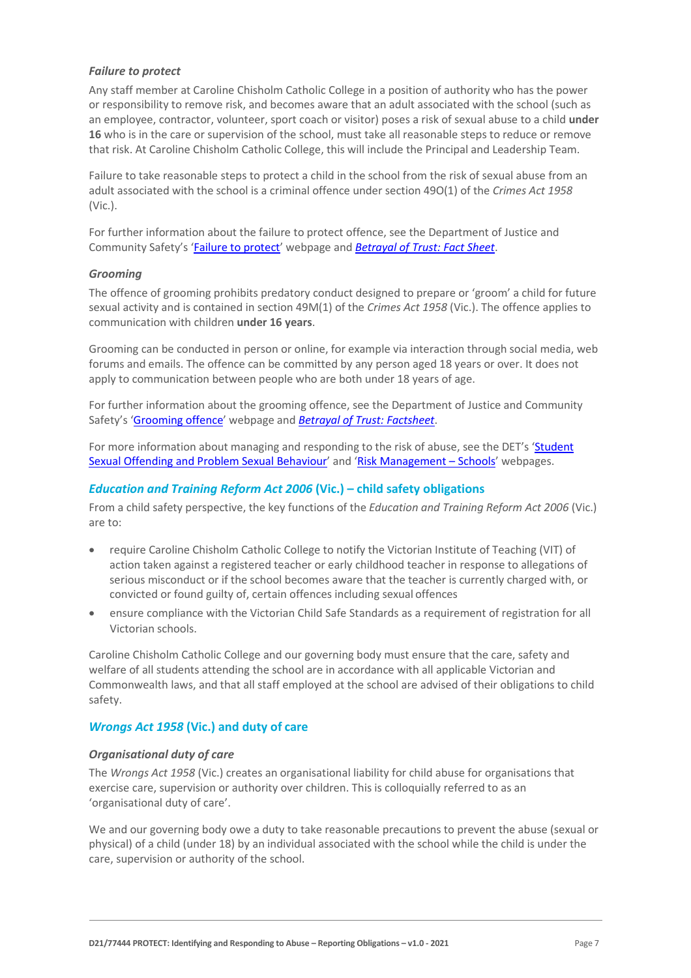#### *Failure to protect*

Any staff member at Caroline Chisholm Catholic College in a position of authority who has the power or responsibility to remove risk, and becomes aware that an adult associated with the school (such as an employee, contractor, volunteer, sport coach or visitor) poses a risk of sexual abuse to a child **under 16** who is in the care or supervision of the school, must take all reasonable steps to reduce or remove that risk. At Caroline Chisholm Catholic College, this will include the Principal and Leadership Team.

Failure to take reasonable steps to protect a child in the school from the risk of sexual abuse from an adult associated with the school is a criminal offence under section 49O(1) of the *Crimes Act 1958* (Vic.).

For further information about the failure to protect offence, see the Department of Justice and Community Safety's ['Failure to protect' w](https://www.justice.vic.gov.au/safer-communities/protecting-children-and-families/failure-to-protect-a-new-criminal-offence-to)ebpage and *[Betrayal of Trust: Fact Sheet](https://www.justice.vic.gov.au/sites/default/files/embridge_cache/emshare/original/public/2020/06/e0/4460c5147/failure_to_protect_betrayal_of_trust_factsheet_2017.pdf)*.

#### *Grooming*

The offence of grooming prohibits predatory conduct designed to prepare or 'groom' a child for future sexual activity and is contained in section 49M(1) of the *Crimes Act 1958* (Vic.). The offence applies to communication with children **under 16 years**.

Grooming can be conducted in person or online, for example via interaction through social media, web forums and emails. The offence can be committed by any person aged 18 years or over. It does not apply to communication between people who are both under 18 years of age.

For further information about the grooming offence, see the Department of Justice and Community Safety's ['Grooming offence'](https://www.justice.vic.gov.au/safer-communities/protecting-children-and-families/grooming-offence) webpage and *[Betrayal of Trust: Factsheet](https://www.justice.vic.gov.au/sites/default/files/embridge_cache/emshare/original/public/2020/06/e6/ea73d4b66/grooming_betrayal_of_trust_factsheet_2017.pdf)*.

For more information about managing and responding to the risk of abuse, see the DET's 'Student [Sexual Offending and Problem Sexual Behaviour'](https://www2.education.vic.gov.au/pal/student-sexual-behaviours/policy) and ['Risk Management –](https://www2.education.vic.gov.au/pal/risk-management-schools/policy) Schools' webpages.

#### *Education and Training Reform Act 2006* **(Vic.) – child safety obligations**

From a child safety perspective, the key functions of the *Education and Training Reform Act 2006* (Vic.) are to:

- require Caroline Chisholm Catholic College to notify the Victorian Institute of Teaching (VIT) of action taken against a registered teacher or early childhood teacher in response to allegations of serious misconduct or if the school becomes aware that the teacher is currently charged with, or convicted or found guilty of, certain offences including sexual offences
- ensure compliance with the Victorian Child Safe Standards as a requirement of registration for all Victorian schools.

Caroline Chisholm Catholic College and our governing body must ensure that the care, safety and welfare of all students attending the school are in accordance with all applicable Victorian and Commonwealth laws, and that all staff employed at the school are advised of their obligations to child safety.

#### *Wrongs Act 1958* **(Vic.) and duty of care**

#### *Organisational duty of care*

The *Wrongs Act 1958* (Vic.) creates an organisational liability for child abuse for organisations that exercise care, supervision or authority over children. This is colloquially referred to as an 'organisational duty of care'.

We and our governing body owe a duty to take reasonable precautions to prevent the abuse (sexual or physical) of a child (under 18) by an individual associated with the school while the child is under the care, supervision or authority of the school.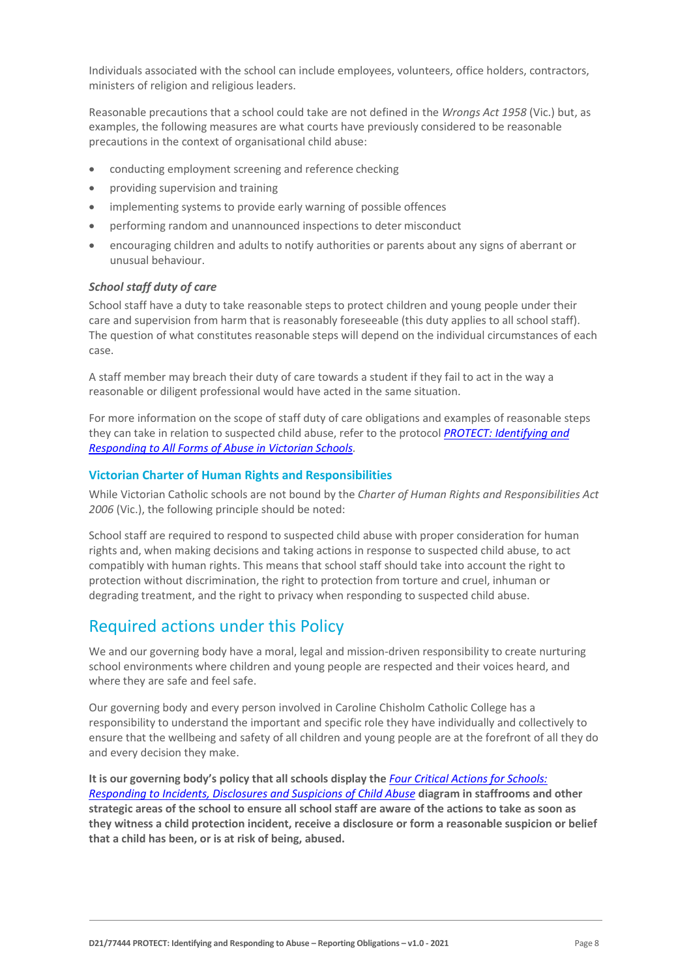Individuals associated with the school can include employees, volunteers, office holders, contractors, ministers of religion and religious leaders.

Reasonable precautions that a school could take are not defined in the *Wrongs Act 1958* (Vic.) but, as examples, the following measures are what courts have previously considered to be reasonable precautions in the context of organisational child abuse:

- conducting employment screening and reference checking
- providing supervision and training
- implementing systems to provide early warning of possible offences
- performing random and unannounced inspections to deter misconduct
- encouraging children and adults to notify authorities or parents about any signs of aberrant or unusual behaviour.

#### *School staff duty of care*

School staff have a duty to take reasonable steps to protect children and young people under their care and supervision from harm that is reasonably foreseeable (this duty applies to all school staff). The question of what constitutes reasonable steps will depend on the individual circumstances of each case.

A staff member may breach their duty of care towards a student if they fail to act in the way a reasonable or diligent professional would have acted in the same situation.

For more information on the scope of staff duty of care obligations and examples of reasonable steps they can take in relation to suspected child abuse, refer to the protocol *[PROTECT: Identifying and](http://www.education.vic.gov.au/Documents/about/programs/health/protect/ChildSafeStandard5_SchoolsGuide.pdf)  [Responding to All Forms of Abuse in Victorian Schools.](http://www.education.vic.gov.au/Documents/about/programs/health/protect/ChildSafeStandard5_SchoolsGuide.pdf)*

#### **Victorian Charter of Human Rights and Responsibilities**

While Victorian Catholic schools are not bound by the *Charter of Human Rights and Responsibilities Act 2006* (Vic.), the following principle should be noted:

School staff are required to respond to suspected child abuse with proper consideration for human rights and, when making decisions and taking actions in response to suspected child abuse, to act compatibly with human rights. This means that school staff should take into account the right to protection without discrimination, the right to protection from torture and cruel, inhuman or degrading treatment, and the right to privacy when responding to suspected child abuse.

# Required actions under this Policy

We and our governing body have a moral, legal and mission-driven responsibility to create nurturing school environments where children and young people are respected and their voices heard, and where they are safe and feel safe.

Our governing body and every person involved in Caroline Chisholm Catholic College has a responsibility to understand the important and specific role they have individually and collectively to ensure that the wellbeing and safety of all children and young people are at the forefront of all they do and every decision they make.

**It is our governing body's policy that all schools display the** *[Four Critical Actions for Schools:](http://www.education.vic.gov.au/Documents/about/programs/health/protect/FourCriticalActions_ChildAbuse.pdf)  [Responding to Incidents, Disclosures and Suspicions of Child Abuse](http://www.education.vic.gov.au/Documents/about/programs/health/protect/FourCriticalActions_ChildAbuse.pdf)* **diagram in staffrooms and other strategic areas of the school to ensure all school staff are aware of the actions to take as soon as they witness a child protection incident, receive a disclosure or form a reasonable suspicion or belief that a child has been, or is at risk of being, abused.**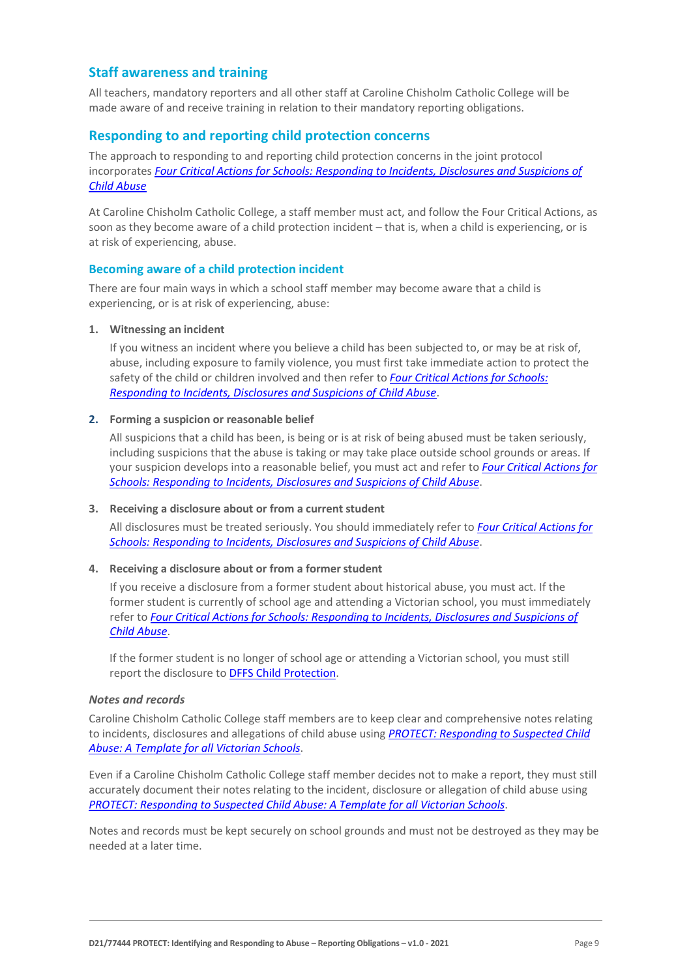# **Staff awareness and training**

All teachers, mandatory reporters and all other staff at Caroline Chisholm Catholic College will be made aware of and receive training in relation to their mandatory reporting obligations.

# **Responding to and reporting child protection concerns**

The approach to responding to and reporting child protection concerns in the joint protocol incorporates *[Four Critical Actions for Schools: Responding to Incidents, Disclosures and Suspicions of](http://www.education.vic.gov.au/Documents/about/programs/health/protect/FourCriticalActions_ChildAbuse.pdf)  [Child Abuse](http://www.education.vic.gov.au/Documents/about/programs/health/protect/FourCriticalActions_ChildAbuse.pdf)*

At Caroline Chisholm Catholic College, a staff member must act, and follow the Four Critical Actions, as soon as they become aware of a child protection incident – that is, when a child is experiencing, or is at risk of experiencing, abuse.

#### **Becoming aware of a child protection incident**

There are four main ways in which a school staff member may become aware that a child is experiencing, or is at risk of experiencing, abuse:

#### **1. Witnessing an incident**

If you witness an incident where you believe a child has been subjected to, or may be at risk of, abuse, including exposure to family violence, you must first take immediate action to protect the safety of the child or children involved and then refer to *[Four Critical Actions for Schools:](http://www.education.vic.gov.au/Documents/about/programs/health/protect/FourCriticalActions_ChildAbuse.pdf)  [Responding to Incidents, Disclosures and Suspicions of Child Abuse](http://www.education.vic.gov.au/Documents/about/programs/health/protect/FourCriticalActions_ChildAbuse.pdf)*.

#### **2. Forming a suspicion or reasonable belief**

All suspicions that a child has been, is being or is at risk of being abused must be taken seriously, including suspicions that the abuse is taking or may take place outside school grounds or areas. If your suspicion develops into a reasonable belief, you must act and refer to *[Four Critical Actions for](http://www.education.vic.gov.au/Documents/about/programs/health/protect/FourCriticalActions_ChildAbuse.pdf)  [Schools: Responding to Incidents, Disclosures and Suspicions of Child Abuse](http://www.education.vic.gov.au/Documents/about/programs/health/protect/FourCriticalActions_ChildAbuse.pdf)*.

#### **3. Receiving a disclosure about or from a current student**

All disclosures must be treated seriously. You should immediately refer to *[Four Critical Actions for](http://www.education.vic.gov.au/Documents/about/programs/health/protect/FourCriticalActions_ChildAbuse.pdf)  [Schools: Responding to Incidents, Disclosures and Suspicions of Child Abuse](http://www.education.vic.gov.au/Documents/about/programs/health/protect/FourCriticalActions_ChildAbuse.pdf)*.

#### **4. Receiving a disclosure about or from a formerstudent**

If you receive a disclosure from a former student about historical abuse, you must act. If the former student is currently of school age and attending a Victorian school, you must immediately refer to *[Four Critical Actions for Schools: Responding to Incidents, Disclosures and Suspicions of](http://www.education.vic.gov.au/Documents/about/programs/health/protect/FourCriticalActions_ChildAbuse.pdf)  [Child Abuse](http://www.education.vic.gov.au/Documents/about/programs/health/protect/FourCriticalActions_ChildAbuse.pdf)*[.](http://www.education.vic.gov.au/Documents/about/programs/health/protect/FourCriticalActions_ChildAbuse.pdf)

If the former student is no longer of school age or attending a Victorian school, you must still report the disclosure to [DFFS Child Protection](https://www.education.vic.gov.au/about/contact/Pages/reportingabuse.aspx)[.](http://www.education.vic.gov.au/about/contact/Pages/reportingabuse.aspx?Redirect=1)

#### *Notes and records*

Caroline Chisholm Catholic College staff members are to keep clear and comprehensive notes relating to incidents, disclosures and allegations of child abuse using *[PROTECT: Responding to Suspected Child](http://www.education.vic.gov.au/Documents/about/programs/health/protect/PROTECT_Responding_TemplateSchools.pdf)  [Abuse: A Template for all Victorian Schools](http://www.education.vic.gov.au/Documents/about/programs/health/protect/PROTECT_Responding_TemplateSchools.pdf)*.

Even if a Caroline Chisholm Catholic College staff member decides not to make a report, they must still accurately document their notes relating to the incident, disclosure or allegation of child abuse using *[PROTECT: Responding to Suspected Child Abuse: A Template for all Victorian Schools](http://www.education.vic.gov.au/Documents/about/programs/health/protect/PROTECT_Responding_TemplateSchools.pdf)*.

Notes and records must be kept securely on school grounds and must not be destroyed as they may be needed at a later time.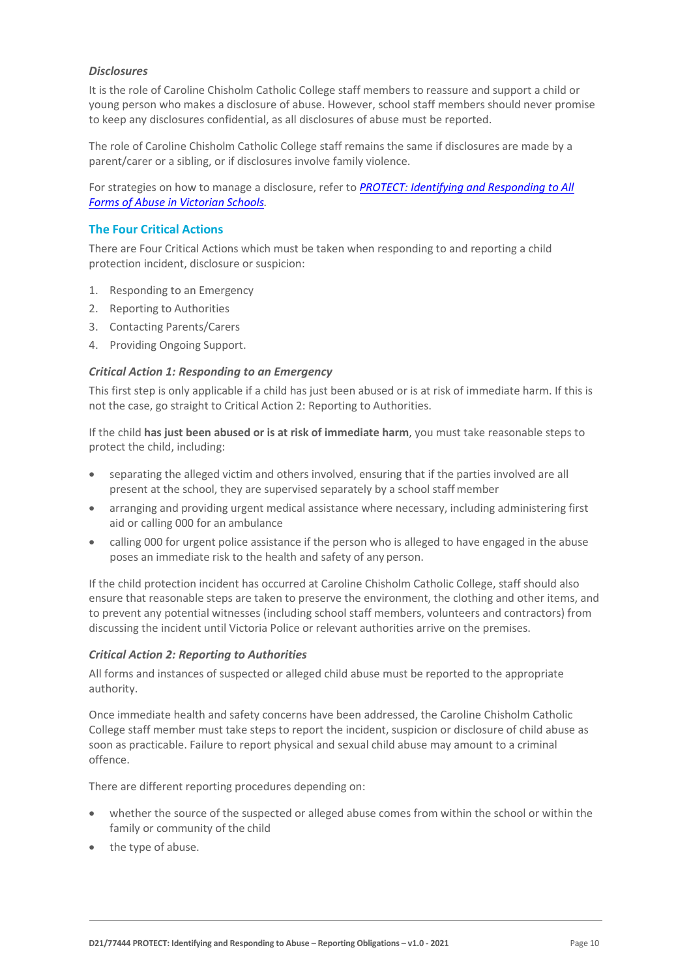#### *Disclosures*

It is the role of Caroline Chisholm Catholic College staff members to reassure and support a child or young person who makes a disclosure of abuse. However, school staff members should never promise to keep any disclosures confidential, as all disclosures of abuse must be reported.

The role of Caroline Chisholm Catholic College staff remains the same if disclosures are made by a parent/carer or a sibling, or if disclosures involve family violence.

For strategies on how to manage a disclosure, refer to *[PROTECT: Identifying and Responding to All](http://www.education.vic.gov.au/Documents/about/programs/health/protect/ChildSafeStandard5_SchoolsGuide.pdf)  [Forms of Abuse in Victorian Schools.](http://www.education.vic.gov.au/Documents/about/programs/health/protect/ChildSafeStandard5_SchoolsGuide.pdf)*

#### **The Four Critical Actions**

There are Four Critical Actions which must be taken when responding to and reporting a child protection incident, disclosure or suspicion:

- 1. Responding to an Emergency
- 2. Reporting to Authorities
- 3. Contacting Parents/Carers
- 4. Providing Ongoing Support.

#### *Critical Action 1: Responding to an Emergency*

This first step is only applicable if a child has just been abused or is at risk of immediate harm. If this is not the case, go straight to Critical Action 2: Reporting to Authorities.

If the child **has just been abused or is at risk of immediate harm**, you must take reasonable steps to protect the child, including:

- separating the alleged victim and others involved, ensuring that if the parties involved are all present at the school, they are supervised separately by a school staffmember
- arranging and providing urgent medical assistance where necessary, including administering first aid or calling 000 for an ambulance
- calling 000 for urgent police assistance if the person who is alleged to have engaged in the abuse poses an immediate risk to the health and safety of any person.

If the child protection incident has occurred at Caroline Chisholm Catholic College, staff should also ensure that reasonable steps are taken to preserve the environment, the clothing and other items, and to prevent any potential witnesses (including school staff members, volunteers and contractors) from discussing the incident until Victoria Police or relevant authorities arrive on the premises.

#### *Critical Action 2: Reporting to Authorities*

All forms and instances of suspected or alleged child abuse must be reported to the appropriate authority.

Once immediate health and safety concerns have been addressed, the Caroline Chisholm Catholic College staff member must take steps to report the incident, suspicion or disclosure of child abuse as soon as practicable. Failure to report physical and sexual child abuse may amount to a criminal offence.

There are different reporting procedures depending on:

- whether the source of the suspected or alleged abuse comes from within the school or within the family or community of the child
- the type of abuse.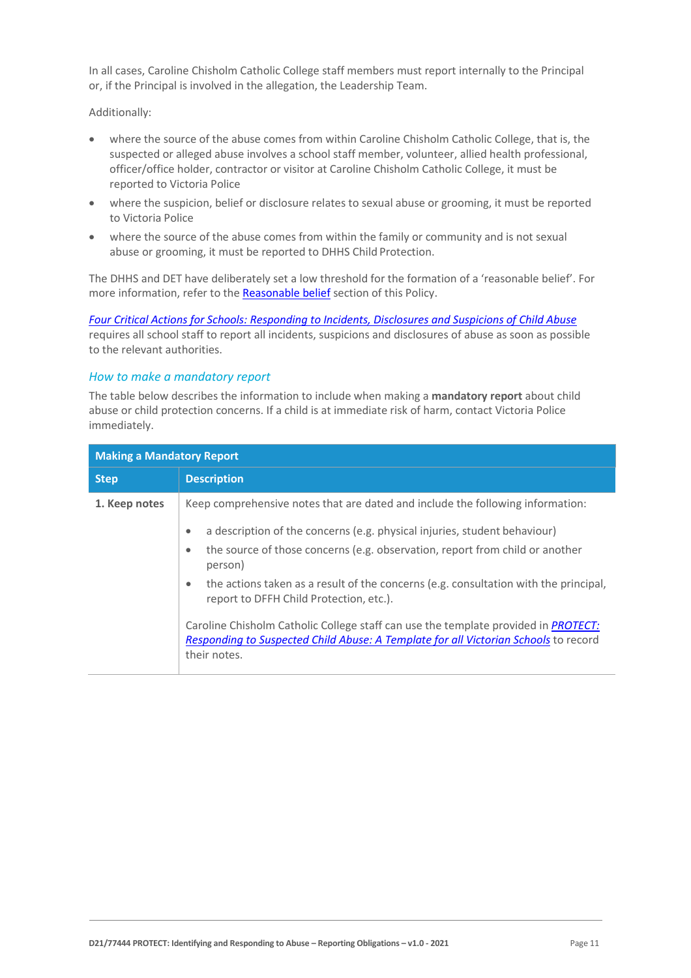In all cases, Caroline Chisholm Catholic College staff members must report internally to the Principal or, if the Principal is involved in the allegation, the Leadership Team.

Additionally:

- where the source of the abuse comes from within Caroline Chisholm Catholic College, that is, the suspected or alleged abuse involves a school staff member, volunteer, allied health professional, officer/office holder, contractor or visitor at Caroline Chisholm Catholic College, it must be reported to Victoria Police
- where the suspicion, belief or disclosure relates to sexual abuse or grooming, it must be reported to Victoria Police
- where the source of the abuse comes from within the family or community and is not sexual abuse or grooming, it must be reported to DHHS Child Protection.

The DHHS and DET have deliberately set a low threshold for the formation of a 'reasonable belief'. For more information, refer to the [Reasonable belief](#page-3-0) section of this Policy.

*[Four Critical Actions for Schools: Responding to Incidents, Disclosures and Suspicions of Child Abuse](http://www.education.vic.gov.au/Documents/about/programs/health/protect/FourCriticalActions_ChildAbuse.pdf)* requires all school staff to report all incidents, suspicions and disclosures of abuse as soon as possible to the relevant authorities.

#### *How to make a mandatory report*

The table below describes the information to include when making a **mandatory report** about child abuse or child protection concerns. If a child is at immediate risk of harm, contact Victoria Police immediately.

| <b>Making a Mandatory Report</b> |                                                                                                                                                                                                   |  |
|----------------------------------|---------------------------------------------------------------------------------------------------------------------------------------------------------------------------------------------------|--|
| <b>Step</b>                      | <b>Description</b>                                                                                                                                                                                |  |
| 1. Keep notes                    | Keep comprehensive notes that are dated and include the following information:                                                                                                                    |  |
|                                  | a description of the concerns (e.g. physical injuries, student behaviour)<br>$\bullet$                                                                                                            |  |
|                                  | the source of those concerns (e.g. observation, report from child or another<br>٠<br>person)                                                                                                      |  |
|                                  | the actions taken as a result of the concerns (e.g. consultation with the principal,<br>$\bullet$<br>report to DFFH Child Protection, etc.).                                                      |  |
|                                  | Caroline Chisholm Catholic College staff can use the template provided in <i>PROTECT</i> :<br>Responding to Suspected Child Abuse: A Template for all Victorian Schools to record<br>their notes. |  |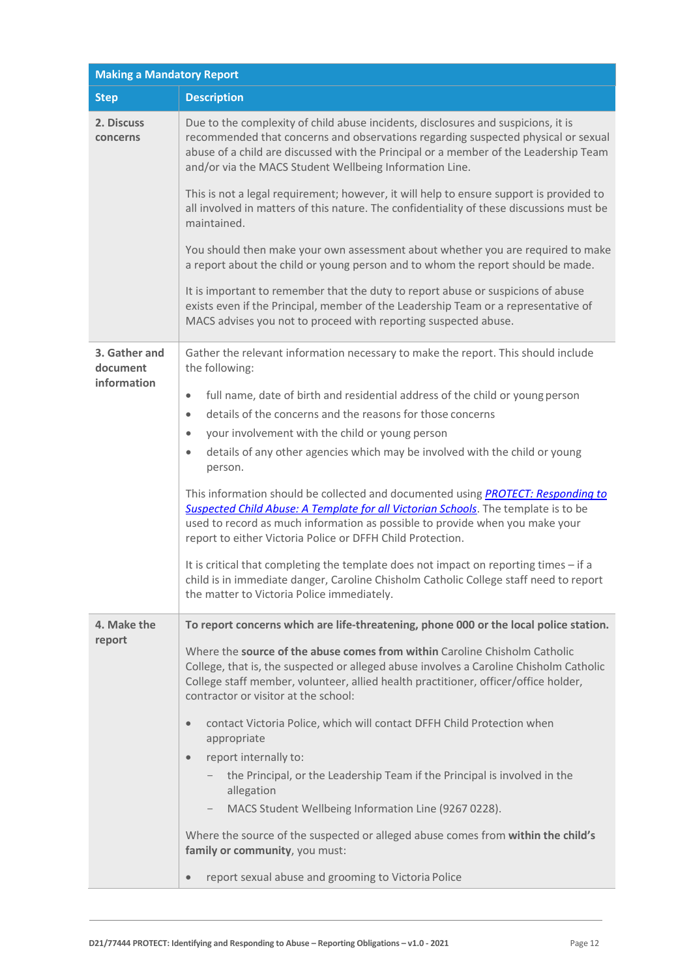| <b>Making a Mandatory Report</b> |                                                                                                                                                                                                                                                                                                                             |  |
|----------------------------------|-----------------------------------------------------------------------------------------------------------------------------------------------------------------------------------------------------------------------------------------------------------------------------------------------------------------------------|--|
| <b>Step</b>                      | <b>Description</b>                                                                                                                                                                                                                                                                                                          |  |
| 2. Discuss<br>concerns           | Due to the complexity of child abuse incidents, disclosures and suspicions, it is<br>recommended that concerns and observations regarding suspected physical or sexual<br>abuse of a child are discussed with the Principal or a member of the Leadership Team<br>and/or via the MACS Student Wellbeing Information Line.   |  |
|                                  | This is not a legal requirement; however, it will help to ensure support is provided to<br>all involved in matters of this nature. The confidentiality of these discussions must be<br>maintained.                                                                                                                          |  |
|                                  | You should then make your own assessment about whether you are required to make<br>a report about the child or young person and to whom the report should be made.                                                                                                                                                          |  |
|                                  | It is important to remember that the duty to report abuse or suspicions of abuse<br>exists even if the Principal, member of the Leadership Team or a representative of<br>MACS advises you not to proceed with reporting suspected abuse.                                                                                   |  |
| 3. Gather and<br>document        | Gather the relevant information necessary to make the report. This should include<br>the following:                                                                                                                                                                                                                         |  |
| information                      | full name, date of birth and residential address of the child or young person<br>$\bullet$                                                                                                                                                                                                                                  |  |
|                                  | details of the concerns and the reasons for those concerns<br>$\bullet$                                                                                                                                                                                                                                                     |  |
|                                  | your involvement with the child or young person<br>$\bullet$                                                                                                                                                                                                                                                                |  |
|                                  | details of any other agencies which may be involved with the child or young<br>$\bullet$<br>person.                                                                                                                                                                                                                         |  |
|                                  | This information should be collected and documented using <b>PROTECT: Responding to</b><br>Suspected Child Abuse: A Template for all Victorian Schools. The template is to be<br>used to record as much information as possible to provide when you make your<br>report to either Victoria Police or DFFH Child Protection. |  |
|                                  | It is critical that completing the template does not impact on reporting times - if a<br>child is in immediate danger, Caroline Chisholm Catholic College staff need to report<br>the matter to Victoria Police immediately.                                                                                                |  |
| 4. Make the                      | To report concerns which are life-threatening, phone 000 or the local police station.                                                                                                                                                                                                                                       |  |
| report                           | Where the source of the abuse comes from within Caroline Chisholm Catholic<br>College, that is, the suspected or alleged abuse involves a Caroline Chisholm Catholic<br>College staff member, volunteer, allied health practitioner, officer/office holder,<br>contractor or visitor at the school:                         |  |
|                                  | contact Victoria Police, which will contact DFFH Child Protection when<br>$\bullet$<br>appropriate                                                                                                                                                                                                                          |  |
|                                  | report internally to:<br>$\bullet$                                                                                                                                                                                                                                                                                          |  |
|                                  | the Principal, or the Leadership Team if the Principal is involved in the<br>allegation                                                                                                                                                                                                                                     |  |
|                                  | MACS Student Wellbeing Information Line (9267 0228).                                                                                                                                                                                                                                                                        |  |
|                                  | Where the source of the suspected or alleged abuse comes from within the child's<br>family or community, you must:                                                                                                                                                                                                          |  |
|                                  | report sexual abuse and grooming to Victoria Police<br>$\bullet$                                                                                                                                                                                                                                                            |  |
|                                  |                                                                                                                                                                                                                                                                                                                             |  |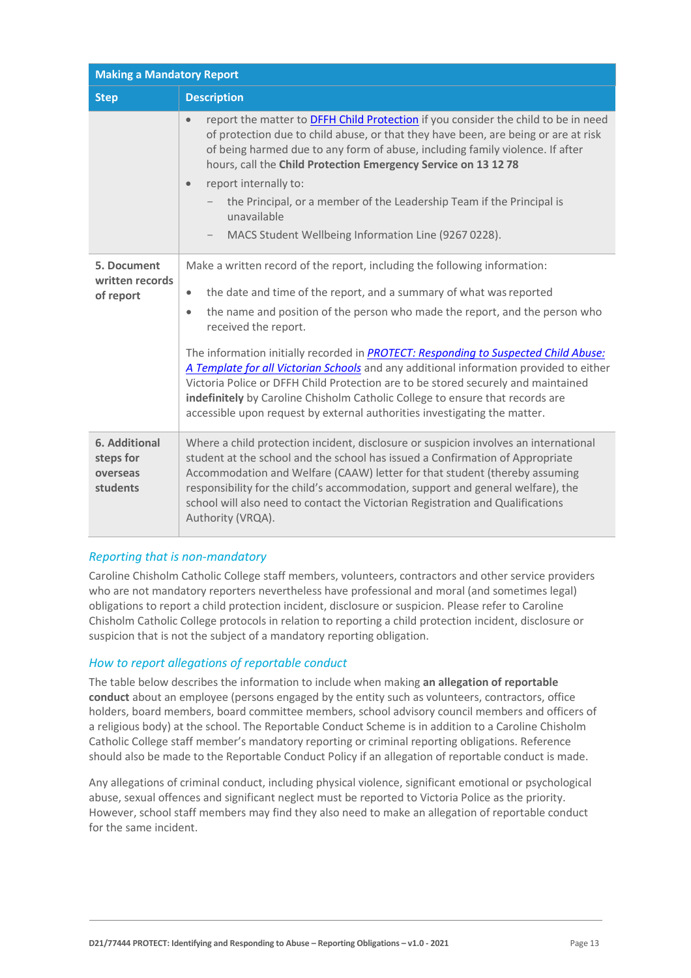| <b>Making a Mandatory Report</b>                          |                                                                                                                                                                                                                                                                                                                                                                                                                                                                                                                                                                                                                                                                                                                       |  |
|-----------------------------------------------------------|-----------------------------------------------------------------------------------------------------------------------------------------------------------------------------------------------------------------------------------------------------------------------------------------------------------------------------------------------------------------------------------------------------------------------------------------------------------------------------------------------------------------------------------------------------------------------------------------------------------------------------------------------------------------------------------------------------------------------|--|
| <b>Step</b>                                               | <b>Description</b>                                                                                                                                                                                                                                                                                                                                                                                                                                                                                                                                                                                                                                                                                                    |  |
|                                                           | report the matter to <b>DFFH Child Protection</b> if you consider the child to be in need<br>$\bullet$<br>of protection due to child abuse, or that they have been, are being or are at risk<br>of being harmed due to any form of abuse, including family violence. If after<br>hours, call the Child Protection Emergency Service on 13 12 78<br>report internally to:<br>$\bullet$<br>the Principal, or a member of the Leadership Team if the Principal is<br>unavailable<br>MACS Student Wellbeing Information Line (9267 0228).                                                                                                                                                                                 |  |
| 5. Document<br>written records<br>of report               | Make a written record of the report, including the following information:<br>the date and time of the report, and a summary of what was reported<br>$\bullet$<br>the name and position of the person who made the report, and the person who<br>$\bullet$<br>received the report.<br>The information initially recorded in PROTECT: Responding to Suspected Child Abuse:<br>A Template for all Victorian Schools and any additional information provided to either<br>Victoria Police or DFFH Child Protection are to be stored securely and maintained<br>indefinitely by Caroline Chisholm Catholic College to ensure that records are<br>accessible upon request by external authorities investigating the matter. |  |
| <b>6. Additional</b><br>steps for<br>overseas<br>students | Where a child protection incident, disclosure or suspicion involves an international<br>student at the school and the school has issued a Confirmation of Appropriate<br>Accommodation and Welfare (CAAW) letter for that student (thereby assuming<br>responsibility for the child's accommodation, support and general welfare), the<br>school will also need to contact the Victorian Registration and Qualifications<br>Authority (VRQA).                                                                                                                                                                                                                                                                         |  |

# *Reporting that is non-mandatory*

Caroline Chisholm Catholic College staff members, volunteers, contractors and other service providers who are not mandatory reporters nevertheless have professional and moral (and sometimes legal) obligations to report a child protection incident, disclosure or suspicion. Please refer to Caroline Chisholm Catholic College protocols in relation to reporting a child protection incident, disclosure or suspicion that is not the subject of a mandatory reporting obligation.

# *How to report allegations of reportable conduct*

The table below describes the information to include when making **an allegation of reportable conduct** about an employee (persons engaged by the entity such as volunteers, contractors, office holders, board members, board committee members, school advisory council members and officers of a religious body) at the school. The Reportable Conduct Scheme is in addition to a Caroline Chisholm Catholic College staff member's mandatory reporting or criminal reporting obligations. Reference should also be made to the Reportable Conduct Policy if an allegation of reportable conduct is made.

Any allegations of criminal conduct, including physical violence, significant emotional or psychological abuse, sexual offences and significant neglect must be reported to Victoria Police as the priority. However, school staff members may find they also need to make an allegation of reportable conduct for the same incident.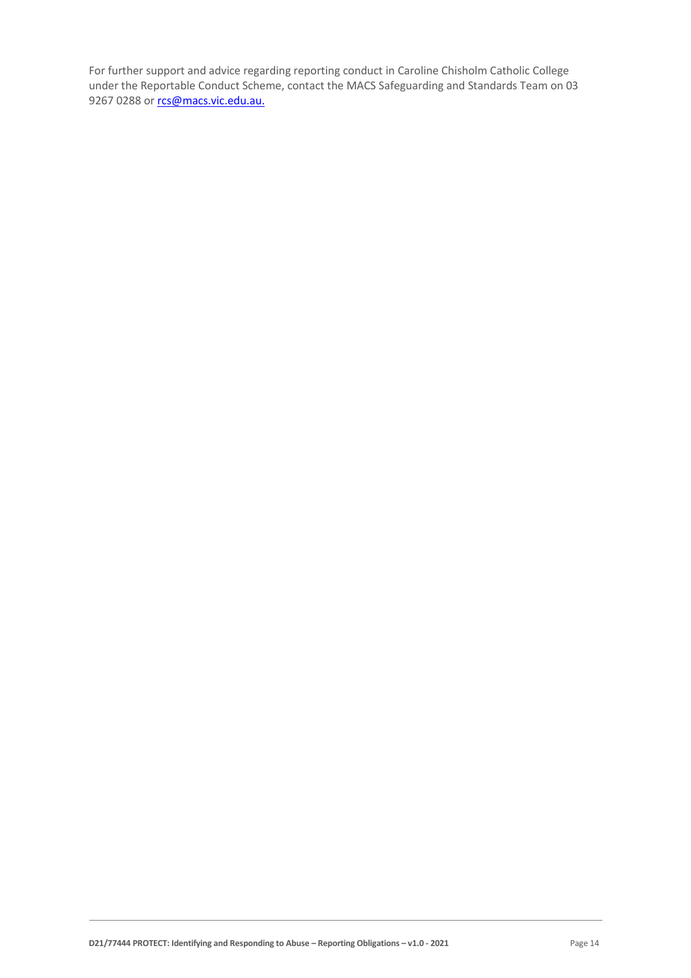For further support and advice regarding reporting conduct in Caroline Chisholm Catholic College under the Reportable Conduct Scheme, contact the MACS Safeguarding and Standards Team on 03 9267 0288 o[r rcs@macs.vic.edu.au.](mailto:rcs@macs.vic.edu.au.)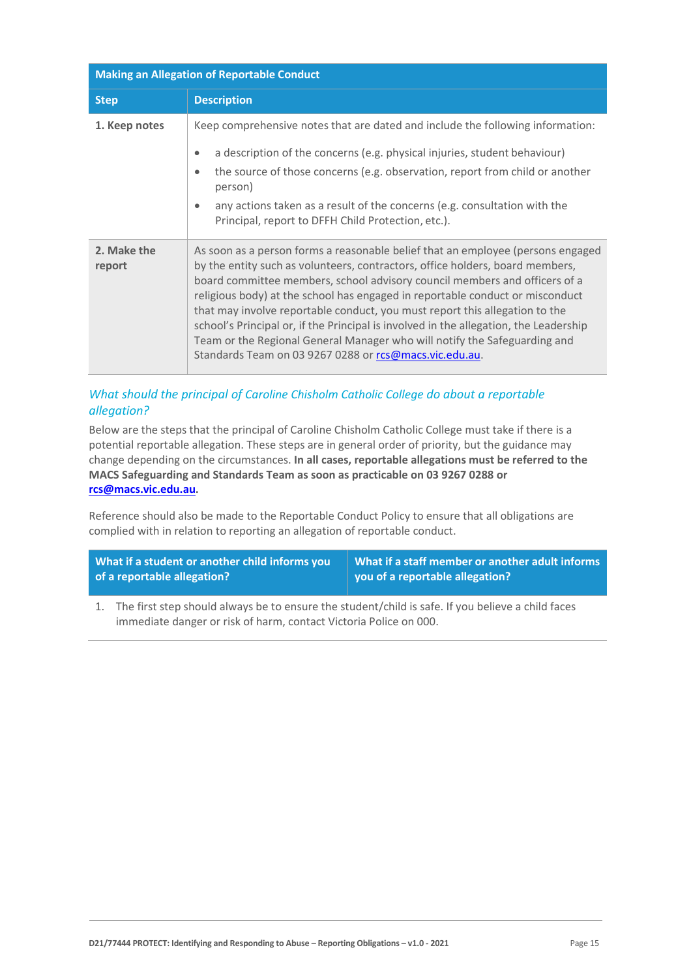| <b>Making an Allegation of Reportable Conduct</b> |                                                                                                                                                                                                                                                                                                                                                                                                                                                                                                                                                                                                                                                |  |
|---------------------------------------------------|------------------------------------------------------------------------------------------------------------------------------------------------------------------------------------------------------------------------------------------------------------------------------------------------------------------------------------------------------------------------------------------------------------------------------------------------------------------------------------------------------------------------------------------------------------------------------------------------------------------------------------------------|--|
| <b>Step</b>                                       | <b>Description</b>                                                                                                                                                                                                                                                                                                                                                                                                                                                                                                                                                                                                                             |  |
| 1. Keep notes                                     | Keep comprehensive notes that are dated and include the following information:<br>a description of the concerns (e.g. physical injuries, student behaviour)<br>$\bullet$<br>the source of those concerns (e.g. observation, report from child or another<br>$\bullet$<br>person)<br>any actions taken as a result of the concerns (e.g. consultation with the<br>$\bullet$<br>Principal, report to DFFH Child Protection, etc.).                                                                                                                                                                                                               |  |
| 2. Make the<br>report                             | As soon as a person forms a reasonable belief that an employee (persons engaged<br>by the entity such as volunteers, contractors, office holders, board members,<br>board committee members, school advisory council members and officers of a<br>religious body) at the school has engaged in reportable conduct or misconduct<br>that may involve reportable conduct, you must report this allegation to the<br>school's Principal or, if the Principal is involved in the allegation, the Leadership<br>Team or the Regional General Manager who will notify the Safeguarding and<br>Standards Team on 03 9267 0288 or rcs@macs.vic.edu.au. |  |

# *What should the principal of Caroline Chisholm Catholic College do about a reportable allegation?*

Below are the steps that the principal of Caroline Chisholm Catholic College must take if there is a potential reportable allegation. These steps are in general order of priority, but the guidance may change depending on the circumstances. **In all cases, reportable allegations must be referred to the MACS Safeguarding and Standards Team as soon as practicable on 03 9267 0288 or [rcs@macs.vic.edu.au.](mailto:rcs@macs.vic.edu.au)**

Reference should also be made to the Reportable Conduct Policy to ensure that all obligations are complied with in relation to reporting an allegation of reportable conduct.

| What if a student or another child informs you | What if a staff member or another adult informs |
|------------------------------------------------|-------------------------------------------------|
| of a reportable allegation?                    | you of a reportable allegation?                 |

1. The first step should always be to ensure the student/child is safe. If you believe a child faces immediate danger or risk of harm, contact Victoria Police on 000.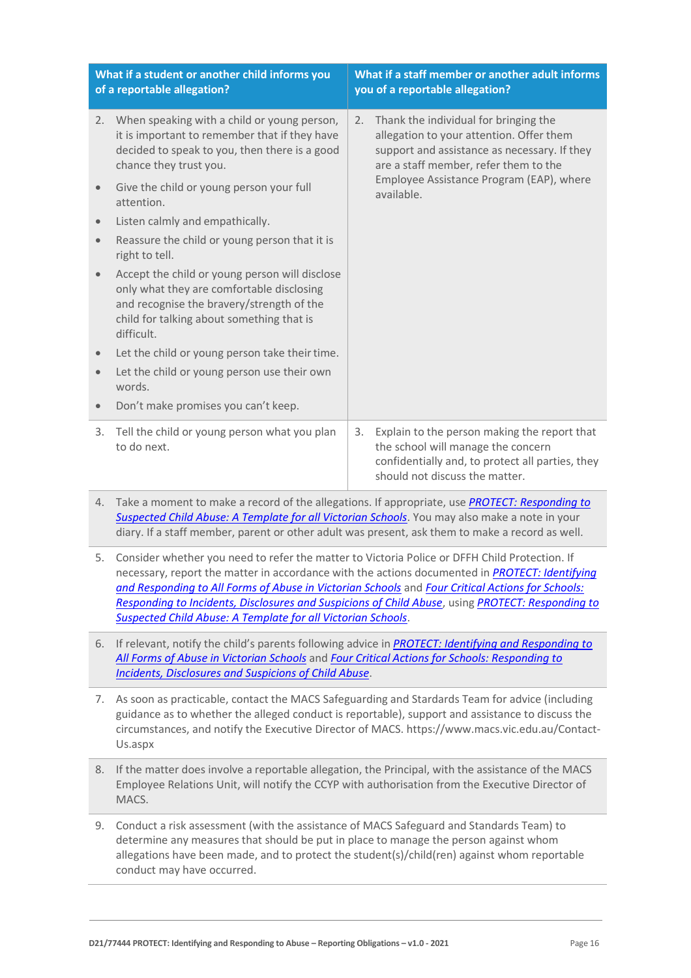|                         | What if a student or another child informs you<br>of a reportable allegation?                                                                                                                                                                                                                                                                                                                                                                                                     |    | What if a staff member or another adult informs<br>you of a reportable allegation?                                                                                         |
|-------------------------|-----------------------------------------------------------------------------------------------------------------------------------------------------------------------------------------------------------------------------------------------------------------------------------------------------------------------------------------------------------------------------------------------------------------------------------------------------------------------------------|----|----------------------------------------------------------------------------------------------------------------------------------------------------------------------------|
|                         | 2. When speaking with a child or young person,<br>it is important to remember that if they have<br>decided to speak to you, then there is a good<br>chance they trust you.                                                                                                                                                                                                                                                                                                        | 2. | Thank the individual for bringing the<br>allegation to your attention. Offer them<br>support and assistance as necessary. If they<br>are a staff member, refer them to the |
| $\bullet$               | Give the child or young person your full<br>attention.                                                                                                                                                                                                                                                                                                                                                                                                                            |    | Employee Assistance Program (EAP), where<br>available.                                                                                                                     |
| $\bullet$               | Listen calmly and empathically.                                                                                                                                                                                                                                                                                                                                                                                                                                                   |    |                                                                                                                                                                            |
| $\bullet$               | Reassure the child or young person that it is<br>right to tell.                                                                                                                                                                                                                                                                                                                                                                                                                   |    |                                                                                                                                                                            |
| $\qquad \qquad \bullet$ | Accept the child or young person will disclose<br>only what they are comfortable disclosing<br>and recognise the bravery/strength of the<br>child for talking about something that is<br>difficult.                                                                                                                                                                                                                                                                               |    |                                                                                                                                                                            |
| $\bullet$               | Let the child or young person take their time.                                                                                                                                                                                                                                                                                                                                                                                                                                    |    |                                                                                                                                                                            |
| $\bullet$               | Let the child or young person use their own<br>words.                                                                                                                                                                                                                                                                                                                                                                                                                             |    |                                                                                                                                                                            |
| $\bullet$               | Don't make promises you can't keep.                                                                                                                                                                                                                                                                                                                                                                                                                                               |    |                                                                                                                                                                            |
| 3.                      | Tell the child or young person what you plan<br>to do next.                                                                                                                                                                                                                                                                                                                                                                                                                       | 3. | Explain to the person making the report that<br>the school will manage the concern<br>confidentially and, to protect all parties, they<br>should not discuss the matter.   |
|                         | 4. Take a moment to make a record of the allegations. If appropriate, use <b>PROTECT: Responding to</b><br>Suspected Child Abuse: A Template for all Victorian Schools. You may also make a note in your<br>diary. If a staff member, parent or other adult was present, ask them to make a record as well.                                                                                                                                                                       |    |                                                                                                                                                                            |
|                         | 5. Consider whether you need to refer the matter to Victoria Police or DFFH Child Protection. If<br>necessary, report the matter in accordance with the actions documented in PROTECT: Identifying<br>and Responding to All Forms of Abuse in Victorian Schools and Four Critical Actions for Schools:<br>Responding to Incidents, Disclosures and Suspicions of Child Abuse, using PROTECT: Responding to<br><b>Suspected Child Abuse: A Template for all Victorian Schools.</b> |    |                                                                                                                                                                            |
| 6.                      | If relevant, notify the child's parents following advice in <b>PROTECT: Identifying and Responding to</b><br>All Forms of Abuse in Victorian Schools and Four Critical Actions for Schools: Responding to<br><b>Incidents, Disclosures and Suspicions of Child Abuse.</b>                                                                                                                                                                                                         |    |                                                                                                                                                                            |
| 7.                      | As soon as practicable, contact the MACS Safeguarding and Stardards Team for advice (including<br>guidance as to whether the alleged conduct is reportable), support and assistance to discuss the<br>circumstances, and notify the Executive Director of MACS. https://www.macs.vic.edu.au/Contact-<br>Us.aspx                                                                                                                                                                   |    |                                                                                                                                                                            |

- 8. If the matter does involve a reportable allegation, the Principal, with the assistance of the MACS Employee Relations Unit, will notify the CCYP with authorisation from the Executive Director of MACS.
- 9. Conduct a risk assessment (with the assistance of MACS Safeguard and Standards Team) to determine any measures that should be put in place to manage the person against whom allegations have been made, and to protect the student(s)/child(ren) against whom reportable conduct may have occurred.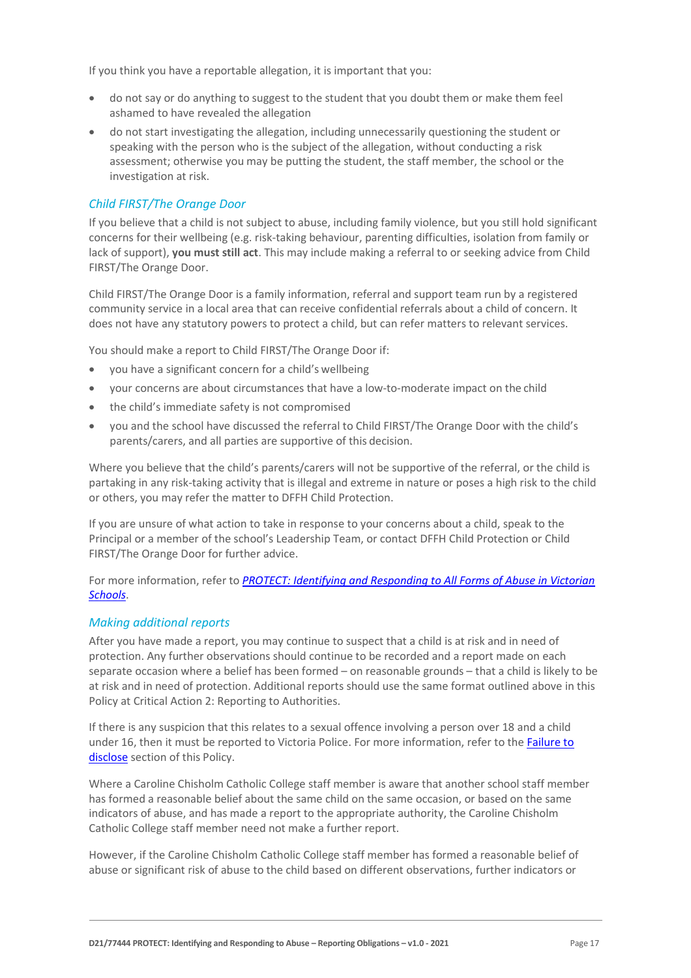If you think you have a reportable allegation, it is important that you:

- do not say or do anything to suggest to the student that you doubt them or make them feel ashamed to have revealed the allegation
- do not start investigating the allegation, including unnecessarily questioning the student or speaking with the person who is the subject of the allegation, without conducting a risk assessment; otherwise you may be putting the student, the staff member, the school or the investigation at risk.

#### *Child FIRST/The Orange Door*

If you believe that a child is not subject to abuse, including family violence, but you still hold significant concerns for their wellbeing (e.g. risk-taking behaviour, parenting difficulties, isolation from family or lack of support), **you must still act**. This may include making a referral to or seeking advice from Child FIRST/The Orange Door.

Child FIRST/The Orange Door is a family information, referral and support team run by a registered community service in a local area that can receive confidential referrals about a child of concern. It does not have any statutory powers to protect a child, but can refer matters to relevant services.

You should make a report to Child FIRST/The Orange Door if:

- you have a significant concern for a child's wellbeing
- your concerns are about circumstances that have a low-to-moderate impact on the child
- the child's immediate safety is not compromised
- you and the school have discussed the referral to Child FIRST/The Orange Door with the child's parents/carers, and all parties are supportive of this decision.

Where you believe that the child's parents/carers will not be supportive of the referral, or the child is partaking in any risk-taking activity that is illegal and extreme in nature or poses a high risk to the child or others, you may refer the matter to DFFH Child Protection.

If you are unsure of what action to take in response to your concerns about a child, speak to the Principal or a member of the school's Leadership Team, or contact DFFH Child Protection or Child FIRST/The Orange Door for further advice.

For more information, refer to *[PROTECT: Identifying and Responding to All Forms of Abuse in Victorian](http://www.education.vic.gov.au/Documents/about/programs/health/protect/ChildSafeStandard5_SchoolsGuide.pdf)  [Schools](http://www.education.vic.gov.au/Documents/about/programs/health/protect/ChildSafeStandard5_SchoolsGuide.pdf)*.

#### *Making additional reports*

After you have made a report, you may continue to suspect that a child is at risk and in need of protection. Any further observations should continue to be recorded and a report made on each separate occasion where a belief has been formed – on reasonable grounds – that a child is likely to be at risk and in need of protection. Additional reports should use the same format outlined above in this Policy at Critical Action 2: Reporting to Authorities.

If there is any suspicion that this relates to a sexual offence involving a person over 18 and a child under 16, then it must be reported to Victoria Police. For more information, refer to the Failure to [disclose](#page-5-0) section of this Policy.

Where a Caroline Chisholm Catholic College staff member is aware that another school staff member has formed a reasonable belief about the same child on the same occasion, or based on the same indicators of abuse, and has made a report to the appropriate authority, the Caroline Chisholm Catholic College staff member need not make a further report.

However, if the Caroline Chisholm Catholic College staff member has formed a reasonable belief of abuse or significant risk of abuse to the child based on different observations, further indicators or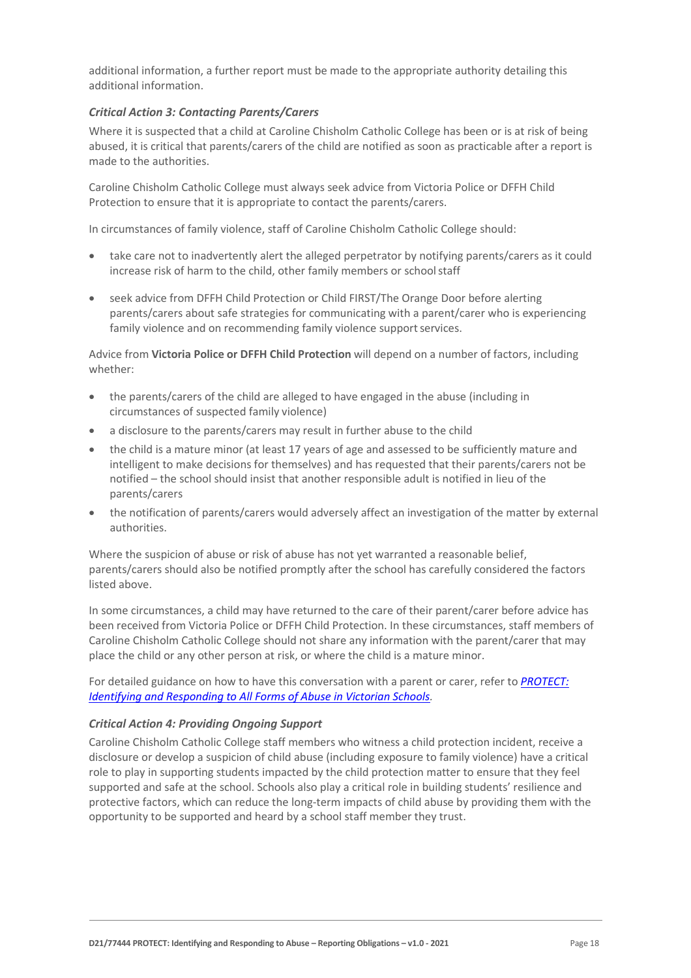additional information, a further report must be made to the appropriate authority detailing this additional information.

#### *Critical Action 3: Contacting Parents/Carers*

Where it is suspected that a child at Caroline Chisholm Catholic College has been or is at risk of being abused, it is critical that parents/carers of the child are notified as soon as practicable after a report is made to the authorities.

Caroline Chisholm Catholic College must always seek advice from Victoria Police or DFFH Child Protection to ensure that it is appropriate to contact the parents/carers.

In circumstances of family violence, staff of Caroline Chisholm Catholic College should:

- take care not to inadvertently alert the alleged perpetrator by notifying parents/carers as it could increase risk of harm to the child, other family members or schoolstaff
- seek advice from DFFH Child Protection or Child FIRST/The Orange Door before alerting parents/carers about safe strategies for communicating with a parent/carer who is experiencing family violence and on recommending family violence support services.

Advice from **Victoria Police or DFFH Child Protection** will depend on a number of factors, including whether:

- the parents/carers of the child are alleged to have engaged in the abuse (including in circumstances of suspected family violence)
- a disclosure to the parents/carers may result in further abuse to the child
- the child is a mature minor (at least 17 years of age and assessed to be sufficiently mature and intelligent to make decisions for themselves) and has requested that their parents/carers not be notified – the school should insist that another responsible adult is notified in lieu of the parents/carers
- the notification of parents/carers would adversely affect an investigation of the matter by external authorities.

Where the suspicion of abuse or risk of abuse has not yet warranted a reasonable belief, parents/carers should also be notified promptly after the school has carefully considered the factors listed above.

In some circumstances, a child may have returned to the care of their parent/carer before advice has been received from Victoria Police or DFFH Child Protection. In these circumstances, staff members of Caroline Chisholm Catholic College should not share any information with the parent/carer that may place the child or any other person at risk, or where the child is a mature minor.

For detailed guidance on how to have this conversation with a parent or carer, refer to *[PROTECT:](http://www.education.vic.gov.au/Documents/about/programs/health/protect/ChildSafeStandard5_SchoolsGuide.pdf)  [Identifying and Responding to All Forms of Abuse in Victorian Schools.](http://www.education.vic.gov.au/Documents/about/programs/health/protect/ChildSafeStandard5_SchoolsGuide.pdf)*

#### *Critical Action 4: Providing Ongoing Support*

Caroline Chisholm Catholic College staff members who witness a child protection incident, receive a disclosure or develop a suspicion of child abuse (including exposure to family violence) have a critical role to play in supporting students impacted by the child protection matter to ensure that they feel supported and safe at the school. Schools also play a critical role in building students' resilience and protective factors, which can reduce the long-term impacts of child abuse by providing them with the opportunity to be supported and heard by a school staff member they trust.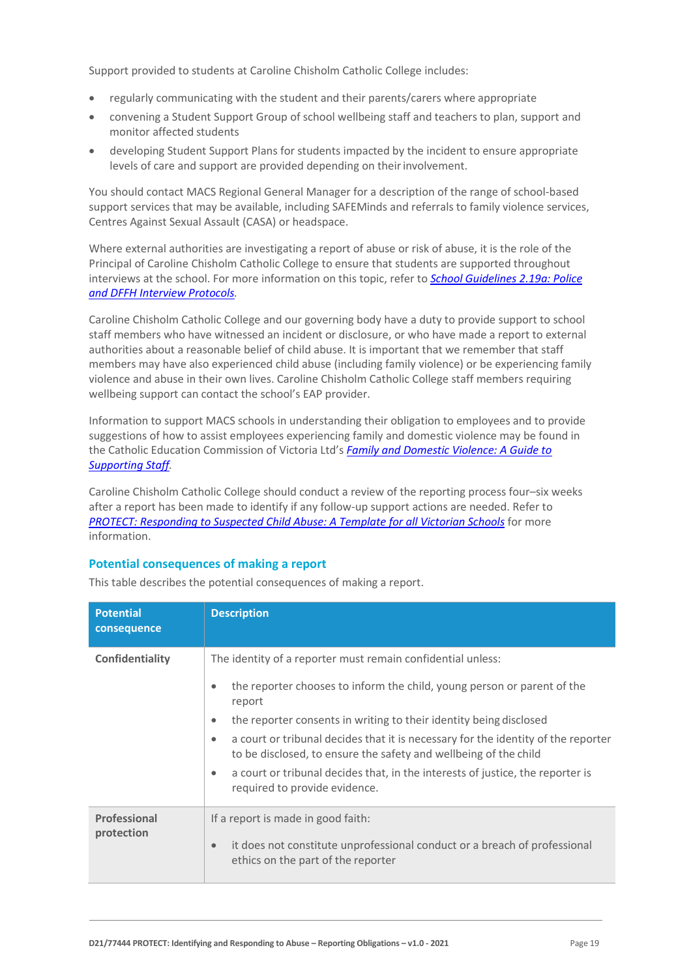Support provided to students at Caroline Chisholm Catholic College includes:

- regularly communicating with the student and their parents/carers where appropriate
- convening a Student Support Group of school wellbeing staff and teachers to plan, support and monitor affected students
- developing Student Support Plans for students impacted by the incident to ensure appropriate levels of care and support are provided depending on theirinvolvement.

You should contact MACS Regional General Manager for a description of the range of school-based support services that may be available, including SAFEMinds and referrals to family violence services, Centres Against Sexual Assault (CASA) or headspace.

Where external authorities are investigating a report of abuse or risk of abuse, it is the role of the Principal of Caroline Chisholm Catholic College to ensure that students are supported throughout interviews at the school. For more information on this topic, refer to *[School Guidelines 2.19a: Police](https://www.cem.edu.au/About-Us/Policies/Police-and-DHHS-Interview-Protocols.aspx)  and DFFH [Interview Protocols.](https://www.cem.edu.au/About-Us/Policies/Police-and-DHHS-Interview-Protocols.aspx)*

Caroline Chisholm Catholic College and our governing body have a duty to provide support to school staff members who have witnessed an incident or disclosure, or who have made a report to external authorities about a reasonable belief of child abuse. It is important that we remember that staff members may have also experienced child abuse (including family violence) or be experiencing family violence and abuse in their own lives. Caroline Chisholm Catholic College staff members requiring wellbeing support can contact the school's EAP provider.

Information to support MACS schools in understanding their obligation to employees and to provide suggestions of how to assist employees experiencing family and domestic violence may be found in the Catholic Education Commission of Victoria Ltd's *[Family and Domestic Violence: A Guide to](https://www.cecv.catholic.edu.au/Media-Files/IR/Policies-Guidelines/Family-Domestic-Violence/Guide-to-family-and-domestic-violence-(1).aspx)  [Supporting Staff](https://www.cecv.catholic.edu.au/Media-Files/IR/Policies-Guidelines/Family-Domestic-Violence/Guide-to-family-and-domestic-violence-(1).aspx)[.](http://www.cecv.catholic.edu.au/Media-Files/IR/Policies-Guidelines/Guide-to-family-and-domestic-violence.aspx)*

Caroline Chisholm Catholic College should conduct a review of the reporting process four–six weeks after a report has been made to identify if any follow-up support actions are needed. Refer to *[PROTECT: Responding to Suspected Child Abuse: A Template for all Victorian Schools](http://www.education.vic.gov.au/Documents/about/programs/health/protect/PROTECT_Responding_TemplateSchools.pdf)* for more information.

#### **Potential consequences of making a report**

| <b>Potential</b><br>consequence | <b>Description</b>                                                                                                                                                                                                                                                                                                                                                                                                                                                                                                                                     |  |
|---------------------------------|--------------------------------------------------------------------------------------------------------------------------------------------------------------------------------------------------------------------------------------------------------------------------------------------------------------------------------------------------------------------------------------------------------------------------------------------------------------------------------------------------------------------------------------------------------|--|
| Confidentiality                 | The identity of a reporter must remain confidential unless:<br>the reporter chooses to inform the child, young person or parent of the<br>$\bullet$<br>report<br>the reporter consents in writing to their identity being disclosed<br>$\bullet$<br>a court or tribunal decides that it is necessary for the identity of the reporter<br>$\bullet$<br>to be disclosed, to ensure the safety and wellbeing of the child<br>a court or tribunal decides that, in the interests of justice, the reporter is<br>$\bullet$<br>required to provide evidence. |  |
| Professional<br>protection      | If a report is made in good faith:<br>it does not constitute unprofessional conduct or a breach of professional<br>$\bullet$<br>ethics on the part of the reporter                                                                                                                                                                                                                                                                                                                                                                                     |  |

This table describes the potential consequences of making a report.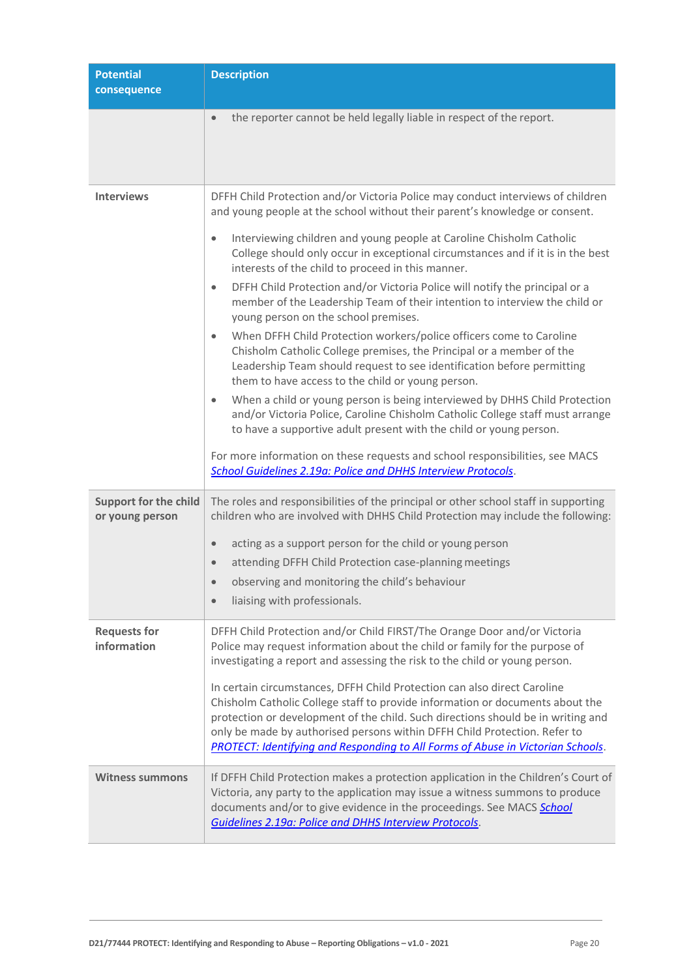| <b>Potential</b><br>consequence                 | <b>Description</b>                                                                                                                                                                                                                                                                                                                                                                                                   |
|-------------------------------------------------|----------------------------------------------------------------------------------------------------------------------------------------------------------------------------------------------------------------------------------------------------------------------------------------------------------------------------------------------------------------------------------------------------------------------|
|                                                 | the reporter cannot be held legally liable in respect of the report.<br>$\bullet$                                                                                                                                                                                                                                                                                                                                    |
| <b>Interviews</b>                               | DFFH Child Protection and/or Victoria Police may conduct interviews of children<br>and young people at the school without their parent's knowledge or consent.                                                                                                                                                                                                                                                       |
|                                                 | Interviewing children and young people at Caroline Chisholm Catholic<br>$\bullet$<br>College should only occur in exceptional circumstances and if it is in the best<br>interests of the child to proceed in this manner.                                                                                                                                                                                            |
|                                                 | DFFH Child Protection and/or Victoria Police will notify the principal or a<br>$\bullet$<br>member of the Leadership Team of their intention to interview the child or<br>young person on the school premises.                                                                                                                                                                                                       |
|                                                 | When DFFH Child Protection workers/police officers come to Caroline<br>$\bullet$<br>Chisholm Catholic College premises, the Principal or a member of the<br>Leadership Team should request to see identification before permitting<br>them to have access to the child or young person.                                                                                                                              |
|                                                 | When a child or young person is being interviewed by DHHS Child Protection<br>$\bullet$<br>and/or Victoria Police, Caroline Chisholm Catholic College staff must arrange<br>to have a supportive adult present with the child or young person.                                                                                                                                                                       |
|                                                 | For more information on these requests and school responsibilities, see MACS<br>School Guidelines 2.19a: Police and DHHS Interview Protocols.                                                                                                                                                                                                                                                                        |
| <b>Support for the child</b><br>or young person | The roles and responsibilities of the principal or other school staff in supporting<br>children who are involved with DHHS Child Protection may include the following:                                                                                                                                                                                                                                               |
|                                                 | acting as a support person for the child or young person<br>$\bullet$                                                                                                                                                                                                                                                                                                                                                |
|                                                 | attending DFFH Child Protection case-planning meetings<br>$\bullet$                                                                                                                                                                                                                                                                                                                                                  |
|                                                 | observing and monitoring the child's behaviour<br>$\bullet$                                                                                                                                                                                                                                                                                                                                                          |
|                                                 | liaising with professionals.<br>$\bullet$                                                                                                                                                                                                                                                                                                                                                                            |
| <b>Requests for</b><br>information              | DFFH Child Protection and/or Child FIRST/The Orange Door and/or Victoria<br>Police may request information about the child or family for the purpose of<br>investigating a report and assessing the risk to the child or young person.                                                                                                                                                                               |
|                                                 | In certain circumstances, DFFH Child Protection can also direct Caroline<br>Chisholm Catholic College staff to provide information or documents about the<br>protection or development of the child. Such directions should be in writing and<br>only be made by authorised persons within DFFH Child Protection. Refer to<br><b>PROTECT: Identifying and Responding to All Forms of Abuse in Victorian Schools.</b> |
| <b>Witness summons</b>                          | If DFFH Child Protection makes a protection application in the Children's Court of<br>Victoria, any party to the application may issue a witness summons to produce<br>documents and/or to give evidence in the proceedings. See MACS School<br>Guidelines 2.19a: Police and DHHS Interview Protocols.                                                                                                               |